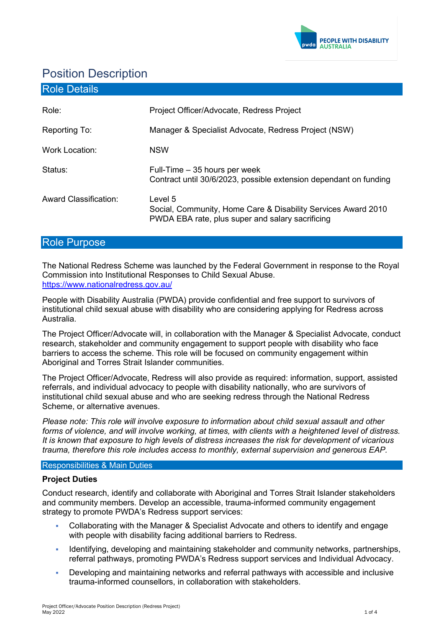

# Position Description

| <b>Role Details</b>          |                                                                                                                              |
|------------------------------|------------------------------------------------------------------------------------------------------------------------------|
| Role:                        | Project Officer/Advocate, Redress Project                                                                                    |
| Reporting To:                | Manager & Specialist Advocate, Redress Project (NSW)                                                                         |
| <b>Work Location:</b>        | <b>NSW</b>                                                                                                                   |
| Status:                      | Full-Time – 35 hours per week<br>Contract until 30/6/2023, possible extension dependant on funding                           |
| <b>Award Classification:</b> | Level 5<br>Social, Community, Home Care & Disability Services Award 2010<br>PWDA EBA rate, plus super and salary sacrificing |

# Role Purpose

The National Redress Scheme was launched by the Federal Government in response to the Royal Commission into Institutional Responses to Child Sexual Abuse. <https://www.nationalredress.gov.au/>

People with Disability Australia (PWDA) provide confidential and free support to survivors of institutional child sexual abuse with disability who are considering applying for Redress across Australia.

The Project Officer/Advocate will, in collaboration with the Manager & Specialist Advocate, conduct research, stakeholder and community engagement to support people with disability who face barriers to access the scheme. This role will be focused on community engagement within Aboriginal and Torres Strait Islander communities.

The Project Officer/Advocate, Redress will also provide as required: information, support, assisted referrals, and individual advocacy to people with disability nationally, who are survivors of institutional child sexual abuse and who are seeking redress through the National Redress Scheme, or alternative avenues.

*Please note: This role will involve exposure to information about child sexual assault and other forms of violence, and will involve working, at times, with clients with a heightened level of distress. It is known that exposure to high levels of distress increases the risk for development of vicarious trauma, therefore this role includes access to monthly, external supervision and generous EAP.* 

#### Responsibilities & Main Duties

#### **Project Duties**

Conduct research, identify and collaborate with Aboriginal and Torres Strait Islander stakeholders and community members. Develop an accessible, trauma-informed community engagement strategy to promote PWDA's Redress support services:

- Collaborating with the Manager & Specialist Advocate and others to identify and engage with people with disability facing additional barriers to Redress.
- Identifying, developing and maintaining stakeholder and community networks, partnerships, referral pathways, promoting PWDA's Redress support services and Individual Advocacy.
- Developing and maintaining networks and referral pathways with accessible and inclusive trauma-informed counsellors, in collaboration with stakeholders.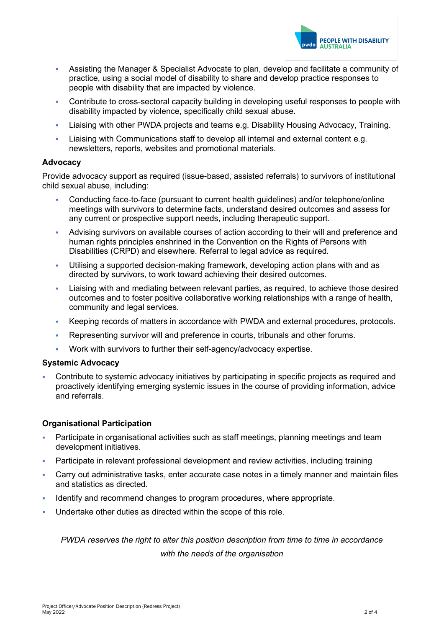

- Assisting the Manager & Specialist Advocate to plan, develop and facilitate a community of practice, using a social model of disability to share and develop practice responses to people with disability that are impacted by violence.
- Contribute to cross-sectoral capacity building in developing useful responses to people with disability impacted by violence, specifically child sexual abuse.
- Liaising with other PWDA projects and teams e.g. Disability Housing Advocacy, Training.
- Liaising with Communications staff to develop all internal and external content e.g. newsletters, reports, websites and promotional materials.

#### **Advocacy**

Provide advocacy support as required (issue-based, assisted referrals) to survivors of institutional child sexual abuse, including:

- Conducting face-to-face (pursuant to current health guidelines) and/or telephone/online meetings with survivors to determine facts, understand desired outcomes and assess for any current or prospective support needs, including therapeutic support.
- Advising survivors on available courses of action according to their will and preference and human rights principles enshrined in the Convention on the Rights of Persons with Disabilities (CRPD) and elsewhere. Referral to legal advice as required.
- Utilising a supported decision-making framework, developing action plans with and as directed by survivors, to work toward achieving their desired outcomes.
- Liaising with and mediating between relevant parties, as required, to achieve those desired outcomes and to foster positive collaborative working relationships with a range of health, community and legal services.
- Keeping records of matters in accordance with PWDA and external procedures, protocols.
- Representing survivor will and preference in courts, tribunals and other forums.
- Work with survivors to further their self-agency/advocacy expertise.

#### **Systemic Advocacy**

 Contribute to systemic advocacy initiatives by participating in specific projects as required and proactively identifying emerging systemic issues in the course of providing information, advice and referrals.

#### **Organisational Participation**

- Participate in organisational activities such as staff meetings, planning meetings and team development initiatives.
- Participate in relevant professional development and review activities, including training
- Carry out administrative tasks, enter accurate case notes in a timely manner and maintain files and statistics as directed.
- Identify and recommend changes to program procedures, where appropriate.
- Undertake other duties as directed within the scope of this role.

*PWDA reserves the right to alter this position description from time to time in accordance with the needs of the organisation*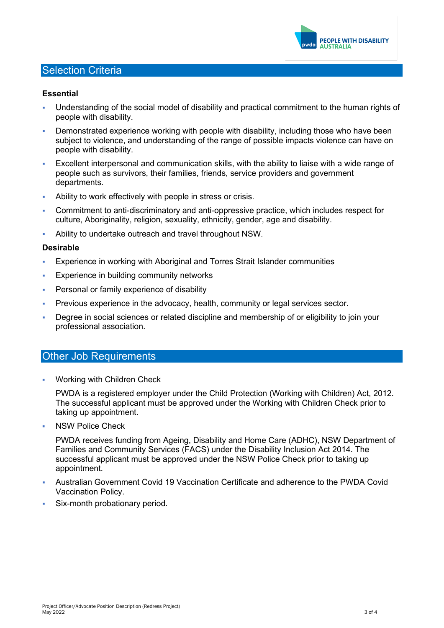

## Selection Criteria

#### **Essential**

- Understanding of the social model of disability and practical commitment to the human rights of people with disability.
- Demonstrated experience working with people with disability, including those who have been subject to violence, and understanding of the range of possible impacts violence can have on people with disability.
- Excellent interpersonal and communication skills, with the ability to liaise with a wide range of people such as survivors, their families, friends, service providers and government departments.
- Ability to work effectively with people in stress or crisis.
- Commitment to anti-discriminatory and anti-oppressive practice, which includes respect for culture, Aboriginality, religion, sexuality, ethnicity, gender, age and disability.
- Ability to undertake outreach and travel throughout NSW.

#### **Desirable**

- Experience in working with Aboriginal and Torres Strait Islander communities
- **Experience in building community networks**
- **Personal or family experience of disability**
- Previous experience in the advocacy, health, community or legal services sector.
- Degree in social sciences or related discipline and membership of or eligibility to join your professional association.

#### **Other Job Requirements**

Working with Children Check

PWDA is a registered employer under the Child Protection (Working with Children) Act, 2012. The successful applicant must be approved under the Working with Children Check prior to taking up appointment.

NSW Police Check

PWDA receives funding from Ageing, Disability and Home Care (ADHC), NSW Department of Families and Community Services (FACS) under the Disability Inclusion Act 2014. The successful applicant must be approved under the NSW Police Check prior to taking up appointment.

- Australian Government Covid 19 Vaccination Certificate and adherence to the PWDA Covid Vaccination Policy.
- Six-month probationary period.